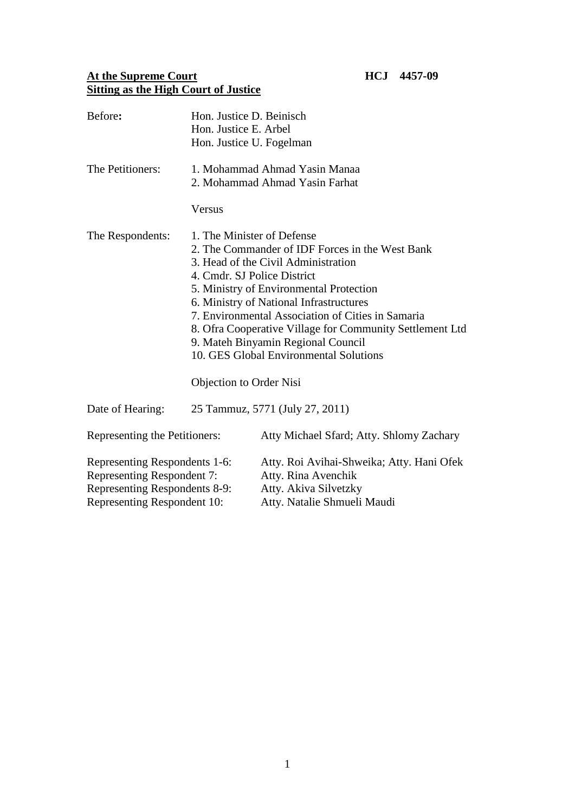## **At the Supreme Court HCJ 4457-09 Sitting as the High Court of Justice**

| Before:                                                                                                                     | Hon. Justice D. Beinisch<br>Hon. Justice E. Arbel<br>Hon. Justice U. Fogelman                                                                                                                                                                                                                                                                                                                                                                                                |                                                                                                                          |
|-----------------------------------------------------------------------------------------------------------------------------|------------------------------------------------------------------------------------------------------------------------------------------------------------------------------------------------------------------------------------------------------------------------------------------------------------------------------------------------------------------------------------------------------------------------------------------------------------------------------|--------------------------------------------------------------------------------------------------------------------------|
| The Petitioners:                                                                                                            |                                                                                                                                                                                                                                                                                                                                                                                                                                                                              | 1. Mohammad Ahmad Yasin Manaa<br>2. Mohammad Ahmad Yasin Farhat                                                          |
|                                                                                                                             | Versus                                                                                                                                                                                                                                                                                                                                                                                                                                                                       |                                                                                                                          |
| The Respondents:                                                                                                            | 1. The Minister of Defense<br>2. The Commander of IDF Forces in the West Bank<br>3. Head of the Civil Administration<br>4. Cmdr. SJ Police District<br>5. Ministry of Environmental Protection<br>6. Ministry of National Infrastructures<br>7. Environmental Association of Cities in Samaria<br>8. Ofra Cooperative Village for Community Settlement Ltd<br>9. Mateh Binyamin Regional Council<br>10. GES Global Environmental Solutions<br><b>Objection to Order Nisi</b> |                                                                                                                          |
| Date of Hearing:                                                                                                            | 25 Tammuz, 5771 (July 27, 2011)                                                                                                                                                                                                                                                                                                                                                                                                                                              |                                                                                                                          |
| Representing the Petitioners:                                                                                               |                                                                                                                                                                                                                                                                                                                                                                                                                                                                              | Atty Michael Sfard; Atty. Shlomy Zachary                                                                                 |
| Representing Respondents 1-6:<br>Representing Respondent 7:<br>Representing Respondents 8-9:<br>Representing Respondent 10: |                                                                                                                                                                                                                                                                                                                                                                                                                                                                              | Atty. Roi Avihai-Shweika; Atty. Hani Ofek<br>Atty. Rina Avenchik<br>Atty. Akiva Silvetzky<br>Atty. Natalie Shmueli Maudi |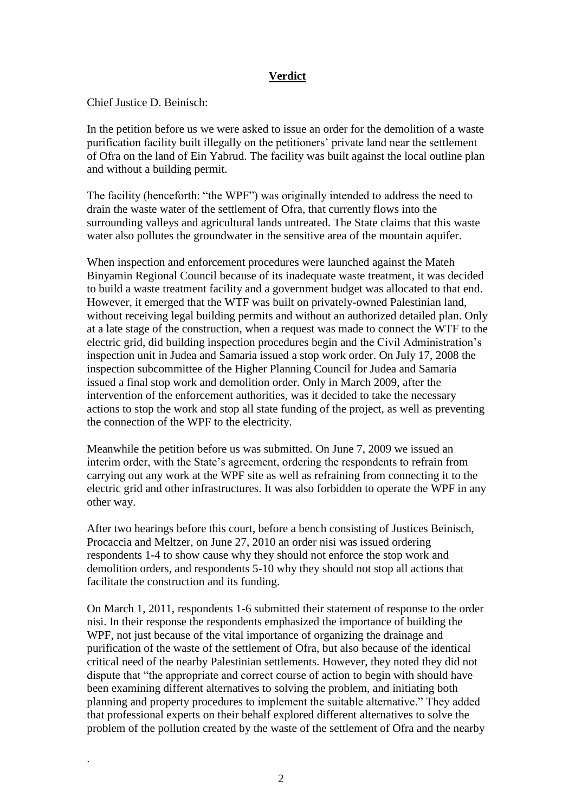## **Verdict**

## Chief Justice D. Beinisch:

.

In the petition before us we were asked to issue an order for the demolition of a waste purification facility built illegally on the petitioners' private land near the settlement of Ofra on the land of Ein Yabrud. The facility was built against the local outline plan and without a building permit.

The facility (henceforth: "the WPF") was originally intended to address the need to drain the waste water of the settlement of Ofra, that currently flows into the surrounding valleys and agricultural lands untreated. The State claims that this waste water also pollutes the groundwater in the sensitive area of the mountain aquifer.

When inspection and enforcement procedures were launched against the Mateh Binyamin Regional Council because of its inadequate waste treatment, it was decided to build a waste treatment facility and a government budget was allocated to that end. However, it emerged that the WTF was built on privately-owned Palestinian land, without receiving legal building permits and without an authorized detailed plan. Only at a late stage of the construction, when a request was made to connect the WTF to the electric grid, did building inspection procedures begin and the Civil Administration's inspection unit in Judea and Samaria issued a stop work order. On July 17, 2008 the inspection subcommittee of the Higher Planning Council for Judea and Samaria issued a final stop work and demolition order. Only in March 2009, after the intervention of the enforcement authorities, was it decided to take the necessary actions to stop the work and stop all state funding of the project, as well as preventing the connection of the WPF to the electricity.

Meanwhile the petition before us was submitted. On June 7, 2009 we issued an interim order, with the State's agreement, ordering the respondents to refrain from carrying out any work at the WPF site as well as refraining from connecting it to the electric grid and other infrastructures. It was also forbidden to operate the WPF in any other way.

After two hearings before this court, before a bench consisting of Justices Beinisch, Procaccia and Meltzer, on June 27, 2010 an order nisi was issued ordering respondents 1-4 to show cause why they should not enforce the stop work and demolition orders, and respondents 5-10 why they should not stop all actions that facilitate the construction and its funding.

On March 1, 2011, respondents 1-6 submitted their statement of response to the order nisi. In their response the respondents emphasized the importance of building the WPF, not just because of the vital importance of organizing the drainage and purification of the waste of the settlement of Ofra, but also because of the identical critical need of the nearby Palestinian settlements. However, they noted they did not dispute that "the appropriate and correct course of action to begin with should have been examining different alternatives to solving the problem, and initiating both planning and property procedures to implement the suitable alternative." They added that professional experts on their behalf explored different alternatives to solve the problem of the pollution created by the waste of the settlement of Ofra and the nearby